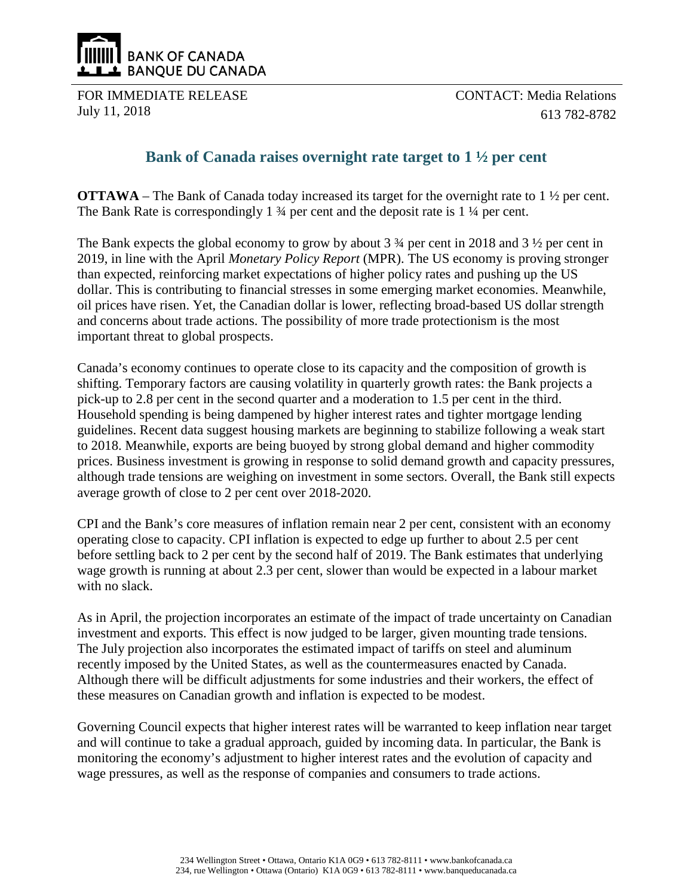

FOR IMMEDIATE RELEASE July 11, 2018

CONTACT: Media Relations 613 782-8782

## **Bank of Canada raises overnight rate target to 1 ½ per cent**

**OTTAWA** – The Bank of Canada today increased its target for the overnight rate to 1  $\frac{1}{2}$  per cent. The Bank Rate is correspondingly 1  $\frac{3}{4}$  per cent and the deposit rate is 1  $\frac{1}{4}$  per cent.

The Bank expects the global economy to grow by about 3 ¾ per cent in 2018 and 3 ½ per cent in 2019, in line with the April *Monetary Policy Report* (MPR). The US economy is proving stronger than expected, reinforcing market expectations of higher policy rates and pushing up the US dollar. This is contributing to financial stresses in some emerging market economies. Meanwhile, oil prices have risen. Yet, the Canadian dollar is lower, reflecting broad-based US dollar strength and concerns about trade actions. The possibility of more trade protectionism is the most important threat to global prospects.

Canada's economy continues to operate close to its capacity and the composition of growth is shifting. Temporary factors are causing volatility in quarterly growth rates: the Bank projects a pick-up to 2.8 per cent in the second quarter and a moderation to 1.5 per cent in the third. Household spending is being dampened by higher interest rates and tighter mortgage lending guidelines. Recent data suggest housing markets are beginning to stabilize following a weak start to 2018. Meanwhile, exports are being buoyed by strong global demand and higher commodity prices. Business investment is growing in response to solid demand growth and capacity pressures, although trade tensions are weighing on investment in some sectors. Overall, the Bank still expects average growth of close to 2 per cent over 2018-2020.

CPI and the Bank's core measures of inflation remain near 2 per cent, consistent with an economy operating close to capacity. CPI inflation is expected to edge up further to about 2.5 per cent before settling back to 2 per cent by the second half of 2019. The Bank estimates that underlying wage growth is running at about 2.3 per cent, slower than would be expected in a labour market with no slack.

As in April, the projection incorporates an estimate of the impact of trade uncertainty on Canadian investment and exports. This effect is now judged to be larger, given mounting trade tensions. The July projection also incorporates the estimated impact of tariffs on steel and aluminum recently imposed by the United States, as well as the countermeasures enacted by Canada. Although there will be difficult adjustments for some industries and their workers, the effect of these measures on Canadian growth and inflation is expected to be modest.

Governing Council expects that higher interest rates will be warranted to keep inflation near target and will continue to take a gradual approach, guided by incoming data. In particular, the Bank is monitoring the economy's adjustment to higher interest rates and the evolution of capacity and wage pressures, as well as the response of companies and consumers to trade actions.